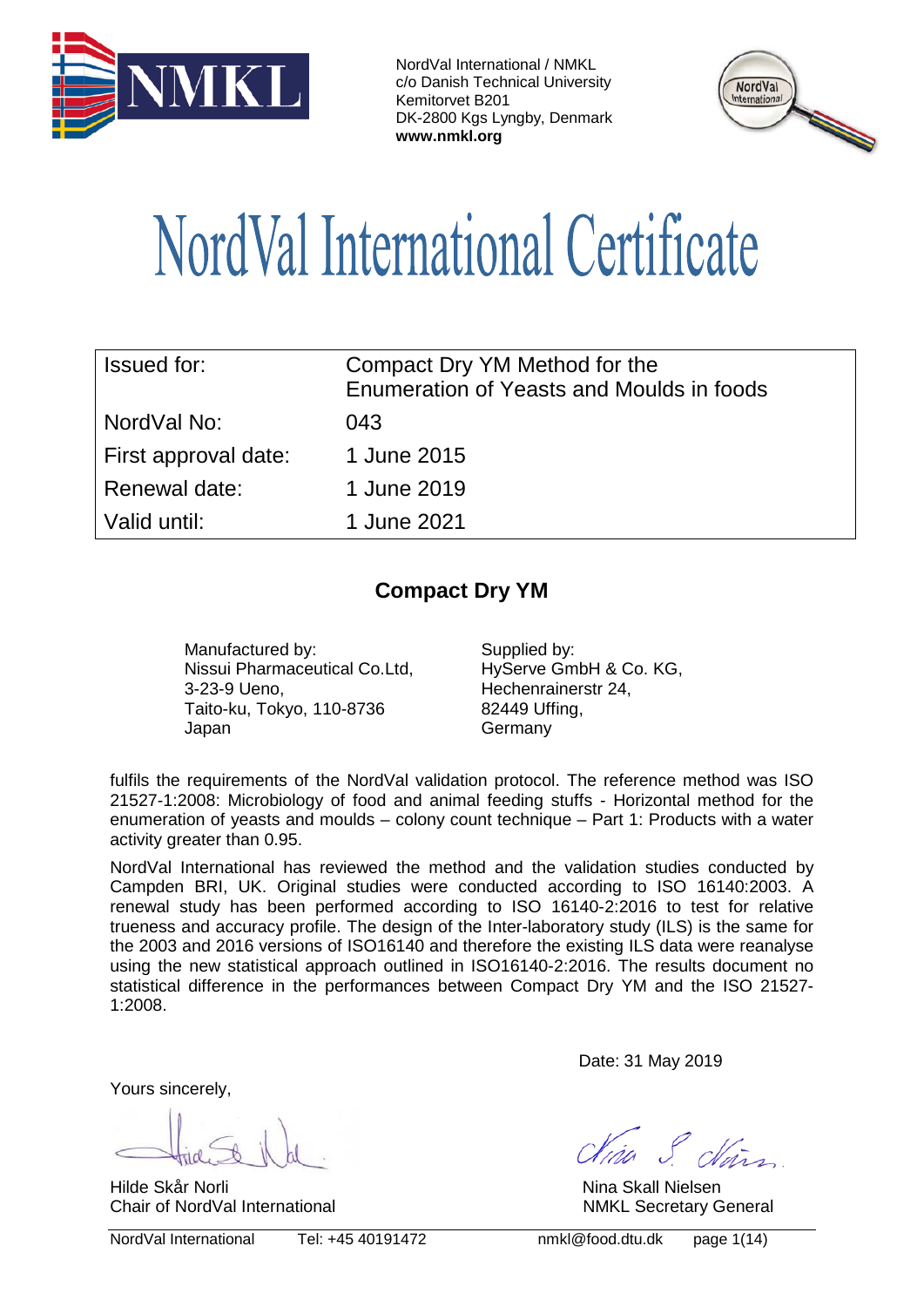



# NordVal International Certificate

| <b>Issued for:</b>   | Compact Dry YM Method for the<br>Enumeration of Yeasts and Moulds in foods |  |  |
|----------------------|----------------------------------------------------------------------------|--|--|
| NordVal No:          | 043                                                                        |  |  |
| First approval date: | 1 June 2015                                                                |  |  |
| Renewal date:        | 1 June 2019                                                                |  |  |
| Valid until:         | 1 June 2021                                                                |  |  |

# **Compact Dry YM**

Manufactured by: Supplied by: Nissui Pharmaceutical Co.Ltd, 3-23-9 Ueno, Taito-ku, Tokyo, 110-8736 Japan

HyServe GmbH & Co. KG, Hechenrainerstr 24, 82449 Uffing, **Germany** 

fulfils the requirements of the NordVal validation protocol. The reference method was ISO 21527-1:2008: Microbiology of food and animal feeding stuffs - Horizontal method for the enumeration of yeasts and moulds – colony count technique – Part 1: Products with a water activity greater than 0.95.

NordVal International has reviewed the method and the validation studies conducted by Campden BRI, UK. Original studies were conducted according to ISO 16140:2003. A renewal study has been performed according to ISO 16140-2:2016 to test for relative trueness and accuracy profile. The design of the Inter-laboratory study (ILS) is the same for the 2003 and 2016 versions of ISO16140 and therefore the existing ILS data were reanalyse using the new statistical approach outlined in ISO16140-2:2016. The results document no statistical difference in the performances between Compact Dry YM and the ISO 21527- 1:2008.

Yours sincerely,

Hilde Skår Norli Nina Skall Nielsen Chair of NordVal International NMKL Secretary General NMKL Secretary General

NordVal International Tel: +45 40191472 nmkl@food.dtu.dk page 1(14)

Date: 31 May 2019

ja S chin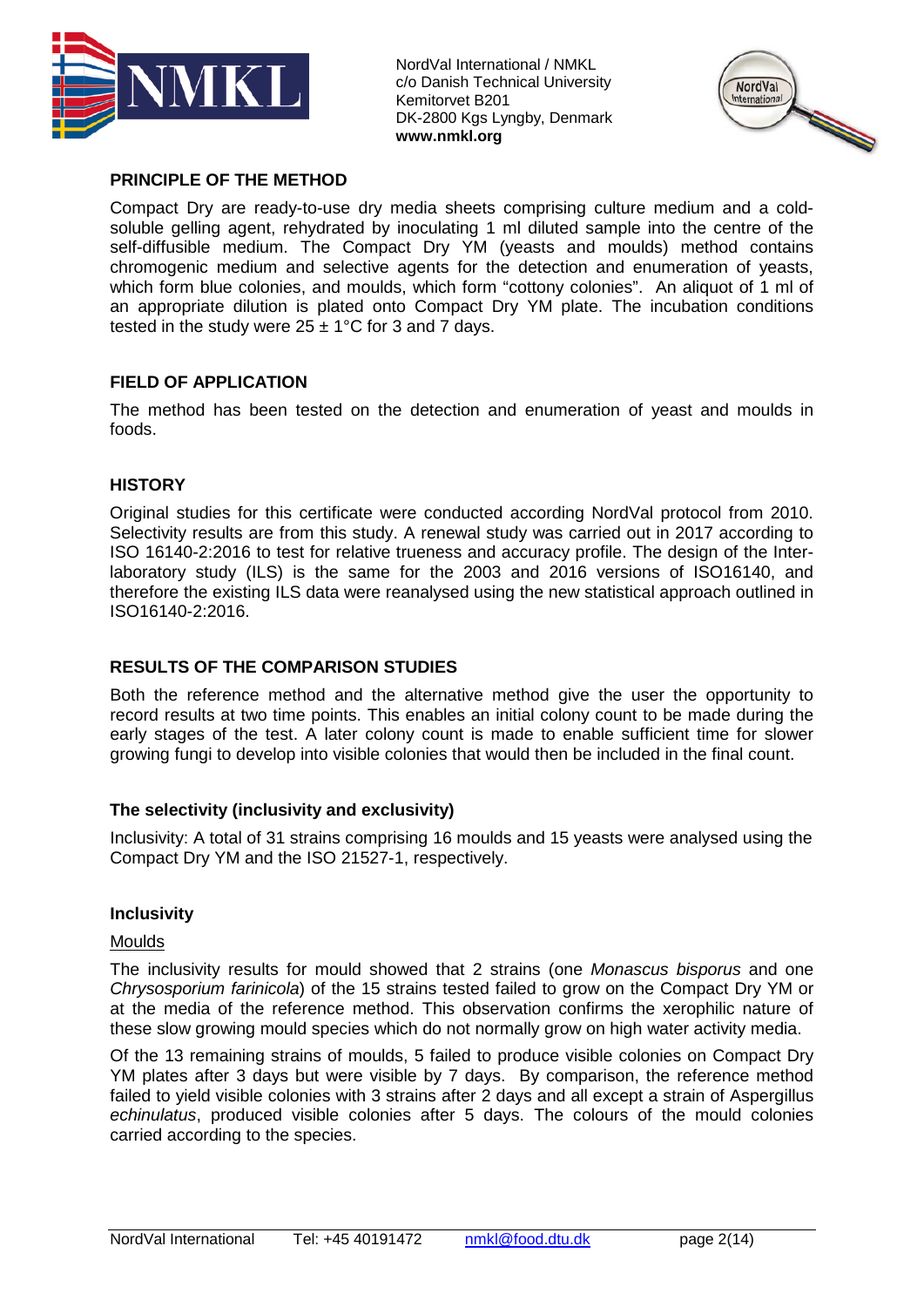



## **PRINCIPLE OF THE METHOD**

Compact Dry are ready-to-use dry media sheets comprising culture medium and a coldsoluble gelling agent, rehydrated by inoculating 1 ml diluted sample into the centre of the self-diffusible medium. The Compact Dry YM (yeasts and moulds) method contains chromogenic medium and selective agents for the detection and enumeration of yeasts, which form blue colonies, and moulds, which form "cottony colonies". An aliquot of 1 ml of an appropriate dilution is plated onto Compact Dry YM plate. The incubation conditions tested in the study were  $25 \pm 1^{\circ}$ C for 3 and 7 days.

# **FIELD OF APPLICATION**

The method has been tested on the detection and enumeration of yeast and moulds in foods.

### **HISTORY**

Original studies for this certificate were conducted according NordVal protocol from 2010. Selectivity results are from this study. A renewal study was carried out in 2017 according to ISO 16140-2:2016 to test for relative trueness and accuracy profile. The design of the Interlaboratory study (ILS) is the same for the 2003 and 2016 versions of ISO16140, and therefore the existing ILS data were reanalysed using the new statistical approach outlined in ISO16140-2:2016.

### **RESULTS OF THE COMPARISON STUDIES**

Both the reference method and the alternative method give the user the opportunity to record results at two time points. This enables an initial colony count to be made during the early stages of the test. A later colony count is made to enable sufficient time for slower growing fungi to develop into visible colonies that would then be included in the final count.

### **The selectivity (inclusivity and exclusivity)**

Inclusivity: A total of 31 strains comprising 16 moulds and 15 yeasts were analysed using the Compact Dry YM and the ISO 21527-1, respectively.

### **Inclusivity**

#### Moulds

The inclusivity results for mould showed that 2 strains (one *Monascus bisporus* and one *Chrysosporium farinicola*) of the 15 strains tested failed to grow on the Compact Dry YM or at the media of the reference method. This observation confirms the xerophilic nature of these slow growing mould species which do not normally grow on high water activity media.

Of the 13 remaining strains of moulds, 5 failed to produce visible colonies on Compact Dry YM plates after 3 days but were visible by 7 days. By comparison, the reference method failed to yield visible colonies with 3 strains after 2 days and all except a strain of Aspergillus *echinulatus*, produced visible colonies after 5 days. The colours of the mould colonies carried according to the species.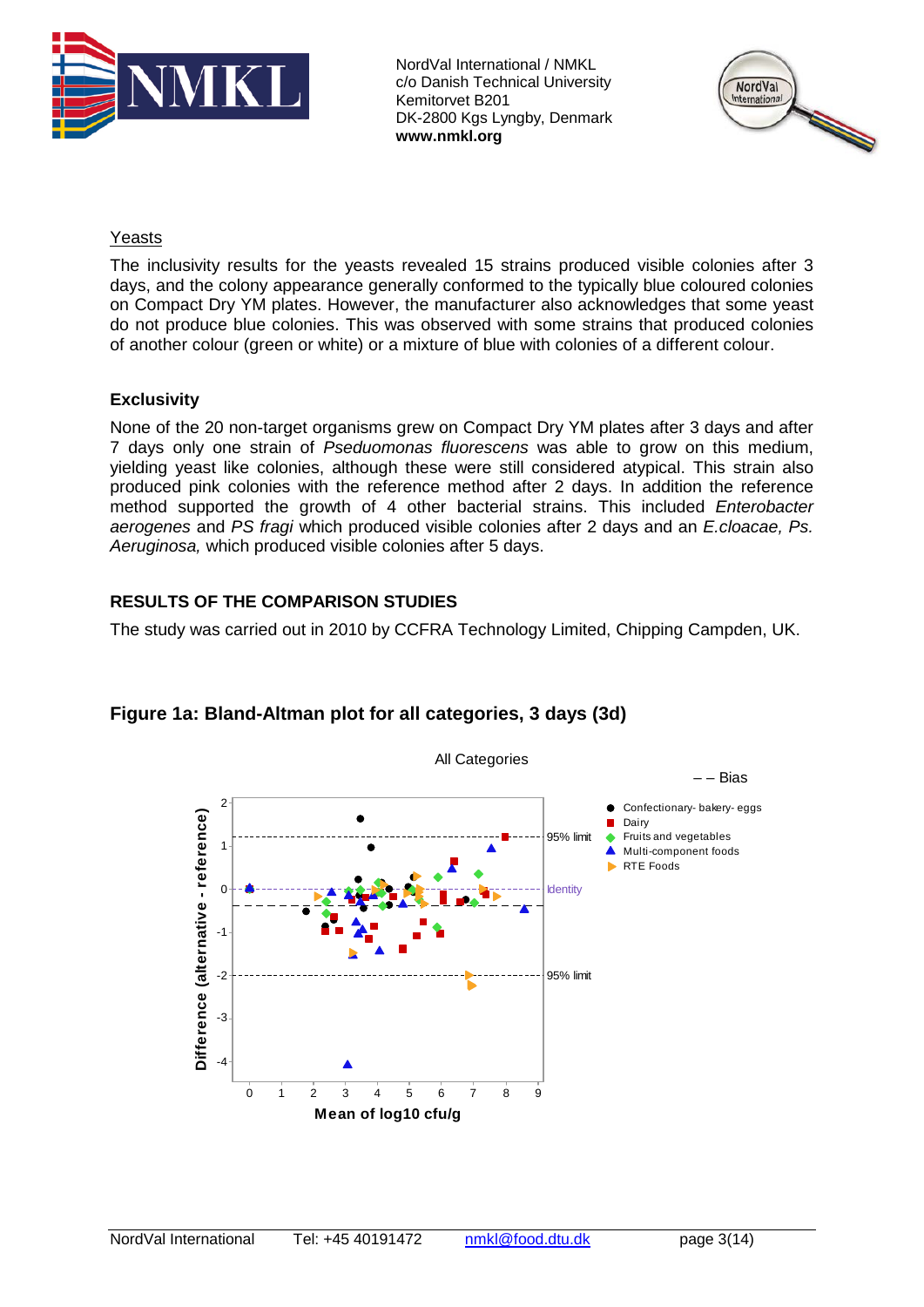



# Yeasts

The inclusivity results for the yeasts revealed 15 strains produced visible colonies after 3 days, and the colony appearance generally conformed to the typically blue coloured colonies on Compact Dry YM plates. However, the manufacturer also acknowledges that some yeast do not produce blue colonies. This was observed with some strains that produced colonies of another colour (green or white) or a mixture of blue with colonies of a different colour.

# **Exclusivity**

None of the 20 non-target organisms grew on Compact Dry YM plates after 3 days and after 7 days only one strain of *Pseduomonas fluorescens* was able to grow on this medium, yielding yeast like colonies, although these were still considered atypical. This strain also produced pink colonies with the reference method after 2 days. In addition the reference method supported the growth of 4 other bacterial strains. This included *Enterobacter aerogenes* and *PS fragi* which produced visible colonies after 2 days and an *E.cloacae, Ps. Aeruginosa,* which produced visible colonies after 5 days.

# **RESULTS OF THE COMPARISON STUDIES**

The study was carried out in 2010 by CCFRA Technology Limited, Chipping Campden, UK.



# **Figure 1a: Bland-Altman plot for all categories, 3 days (3d)**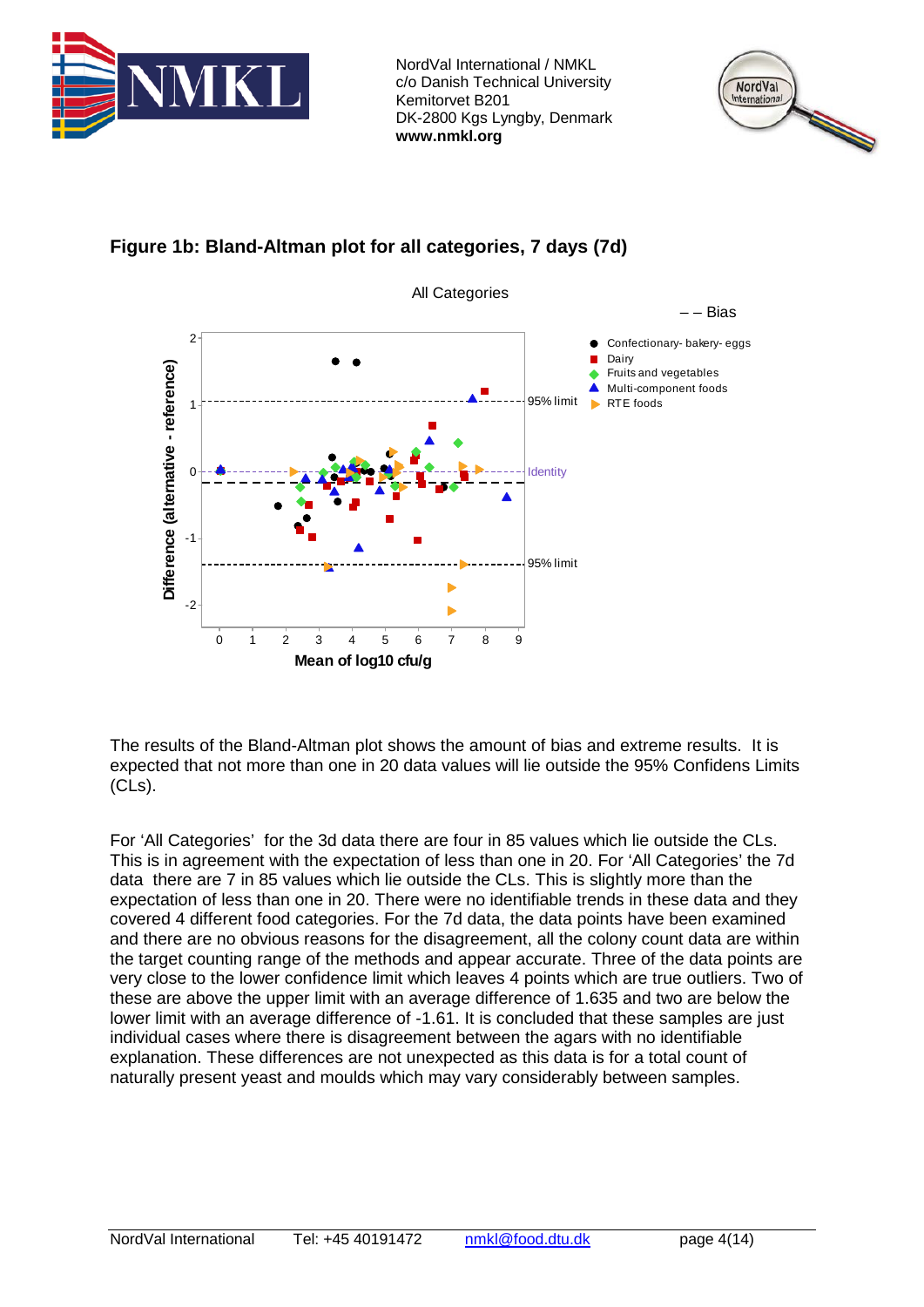





**Figure 1b: Bland-Altman plot for all categories, 7 days (7d)**

The results of the Bland-Altman plot shows the amount of bias and extreme results. It is expected that not more than one in 20 data values will lie outside the 95% Confidens Limits (CLs).

For 'All Categories' for the 3d data there are four in 85 values which lie outside the CLs. This is in agreement with the expectation of less than one in 20. For 'All Categories' the 7d data there are 7 in 85 values which lie outside the CLs. This is slightly more than the expectation of less than one in 20. There were no identifiable trends in these data and they covered 4 different food categories. For the 7d data, the data points have been examined and there are no obvious reasons for the disagreement, all the colony count data are within the target counting range of the methods and appear accurate. Three of the data points are very close to the lower confidence limit which leaves 4 points which are true outliers. Two of these are above the upper limit with an average difference of 1.635 and two are below the lower limit with an average difference of -1.61. It is concluded that these samples are just individual cases where there is disagreement between the agars with no identifiable explanation. These differences are not unexpected as this data is for a total count of naturally present yeast and moulds which may vary considerably between samples.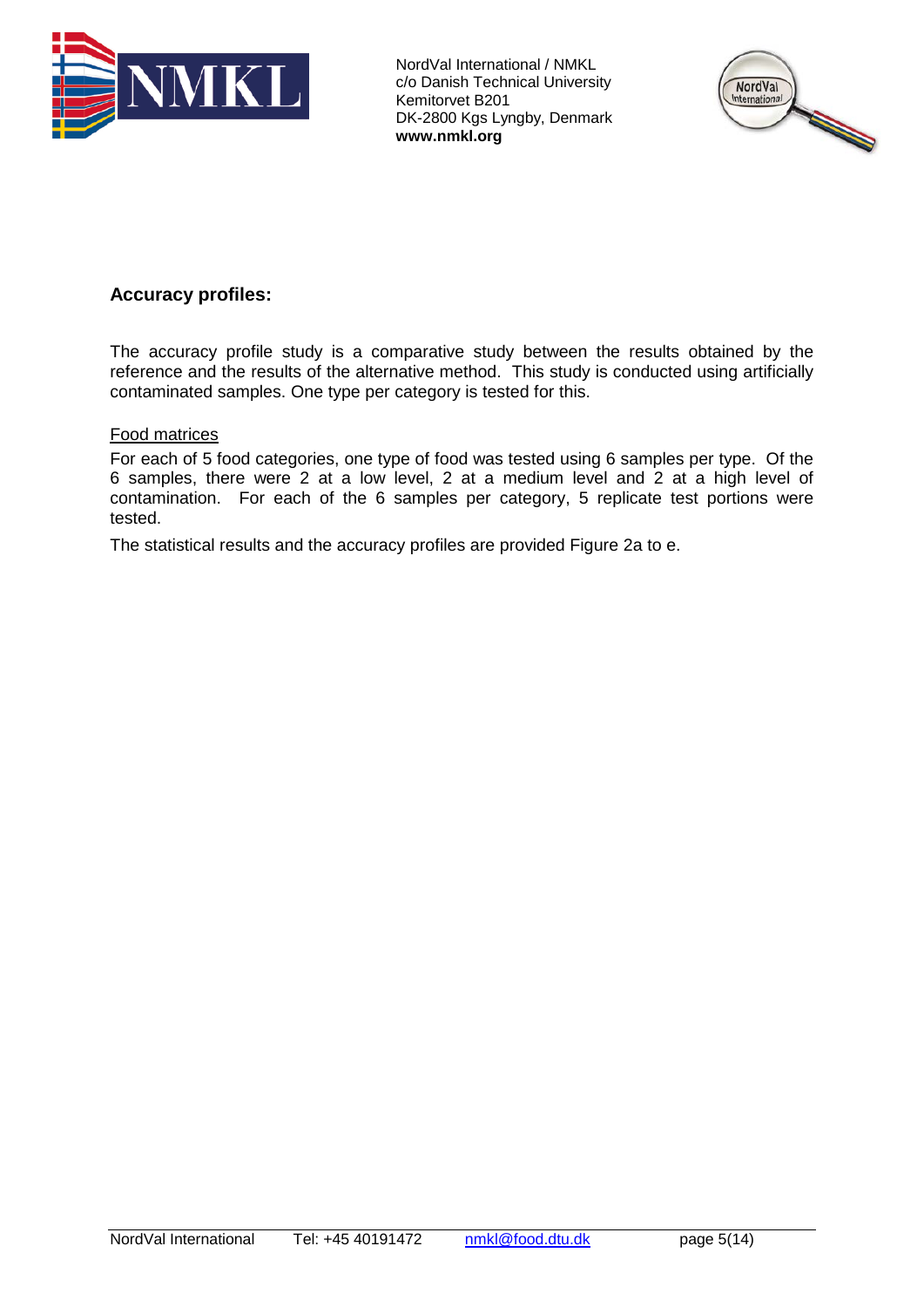



# **Accuracy profiles:**

The accuracy profile study is a comparative study between the results obtained by the reference and the results of the alternative method. This study is conducted using artificially contaminated samples. One type per category is tested for this.

### Food matrices

For each of 5 food categories, one type of food was tested using 6 samples per type. Of the 6 samples, there were 2 at a low level, 2 at a medium level and 2 at a high level of contamination. For each of the 6 samples per category, 5 replicate test portions were tested.

The statistical results and the accuracy profiles are provided Figure 2a to e.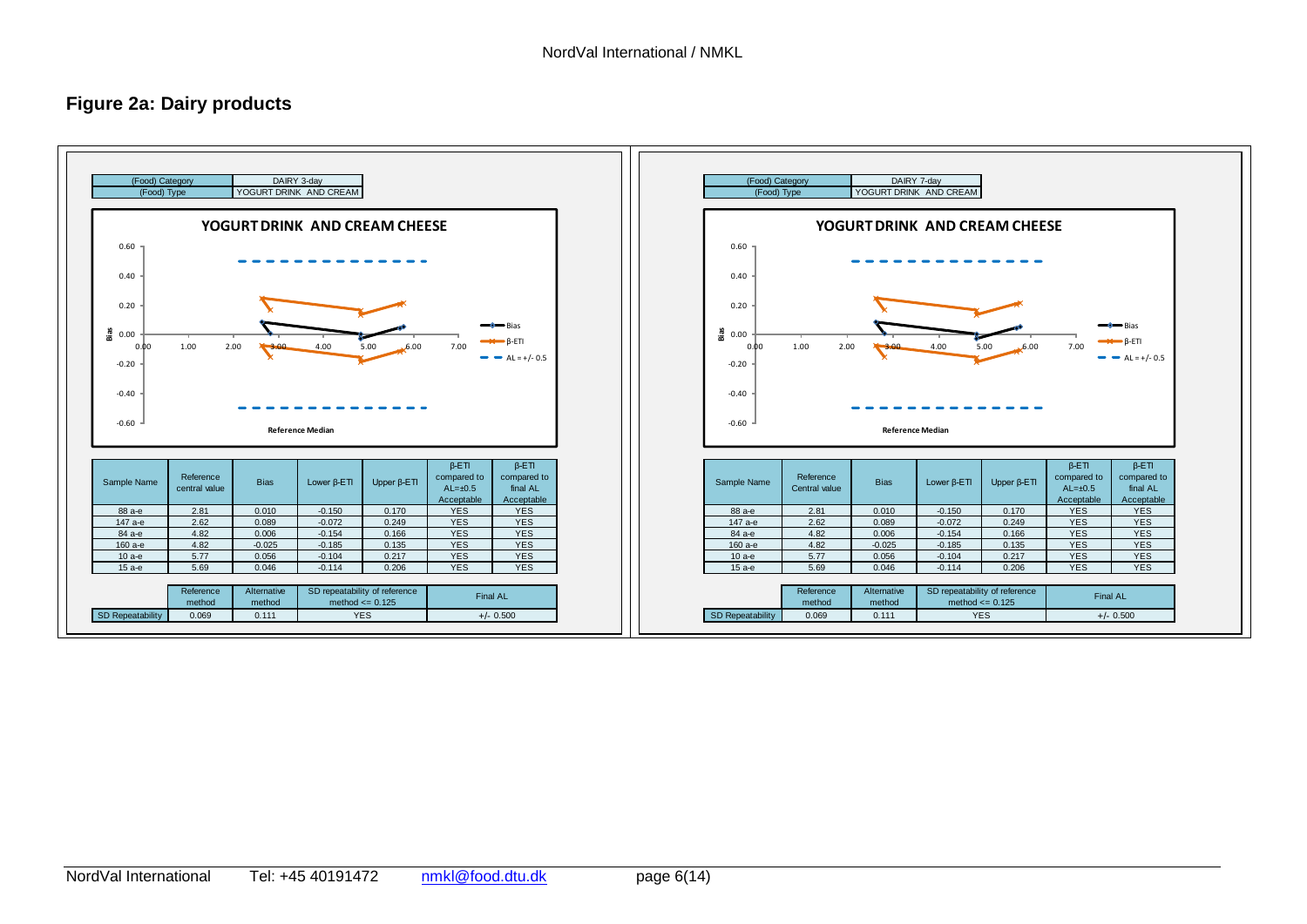# **Figure 2a: Dairy products**

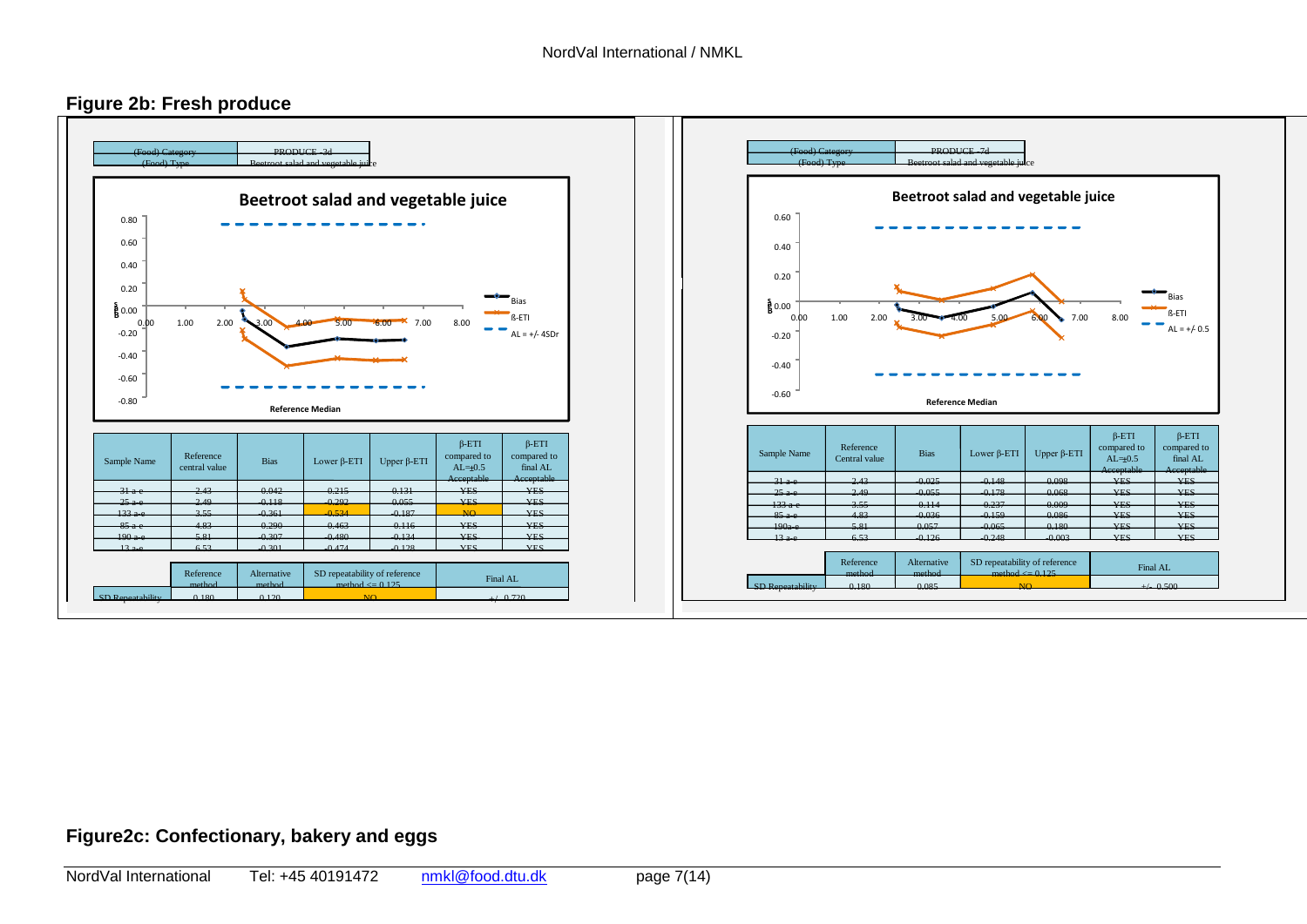



# **Figure2c: Confectionary, bakery and eggs**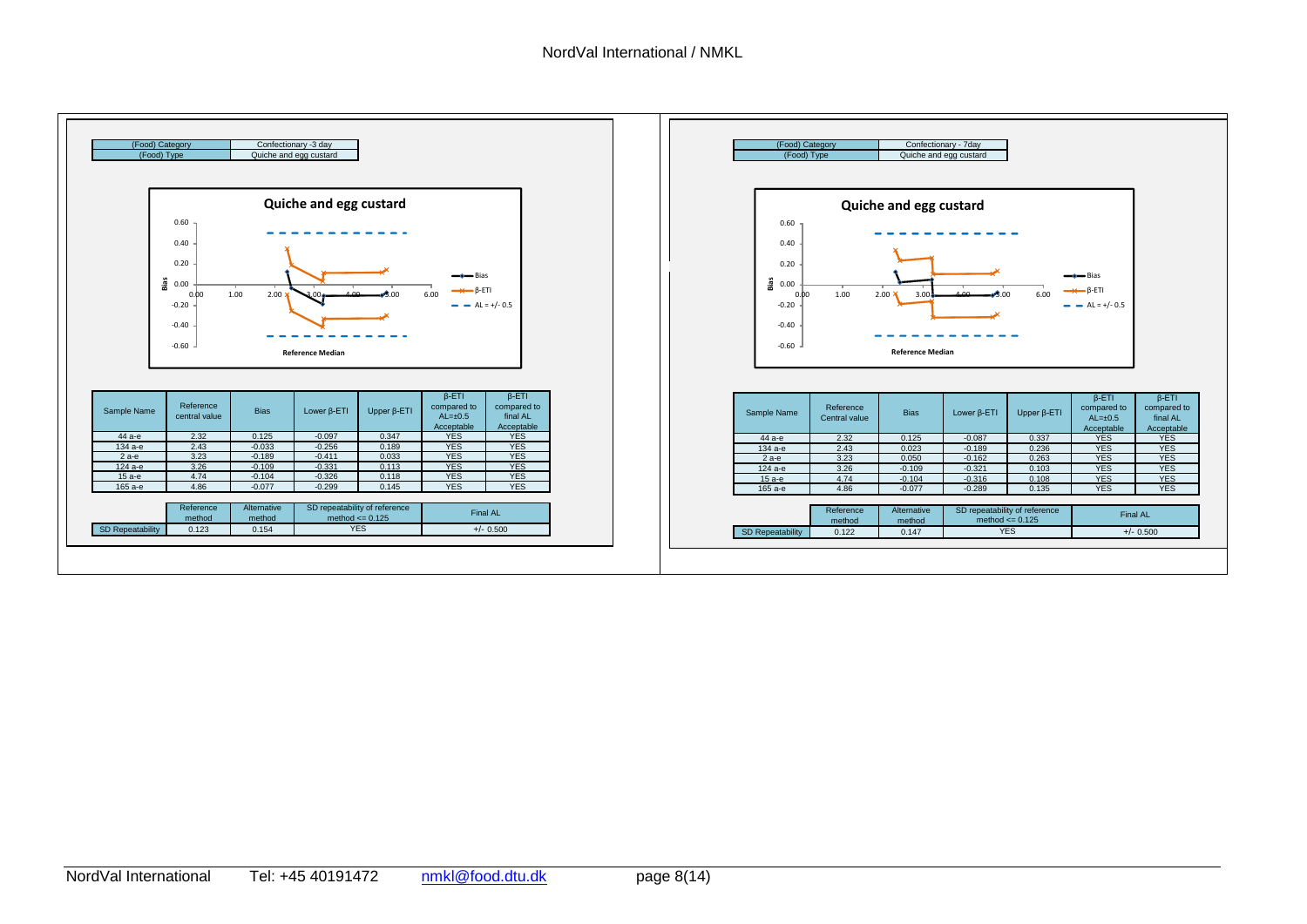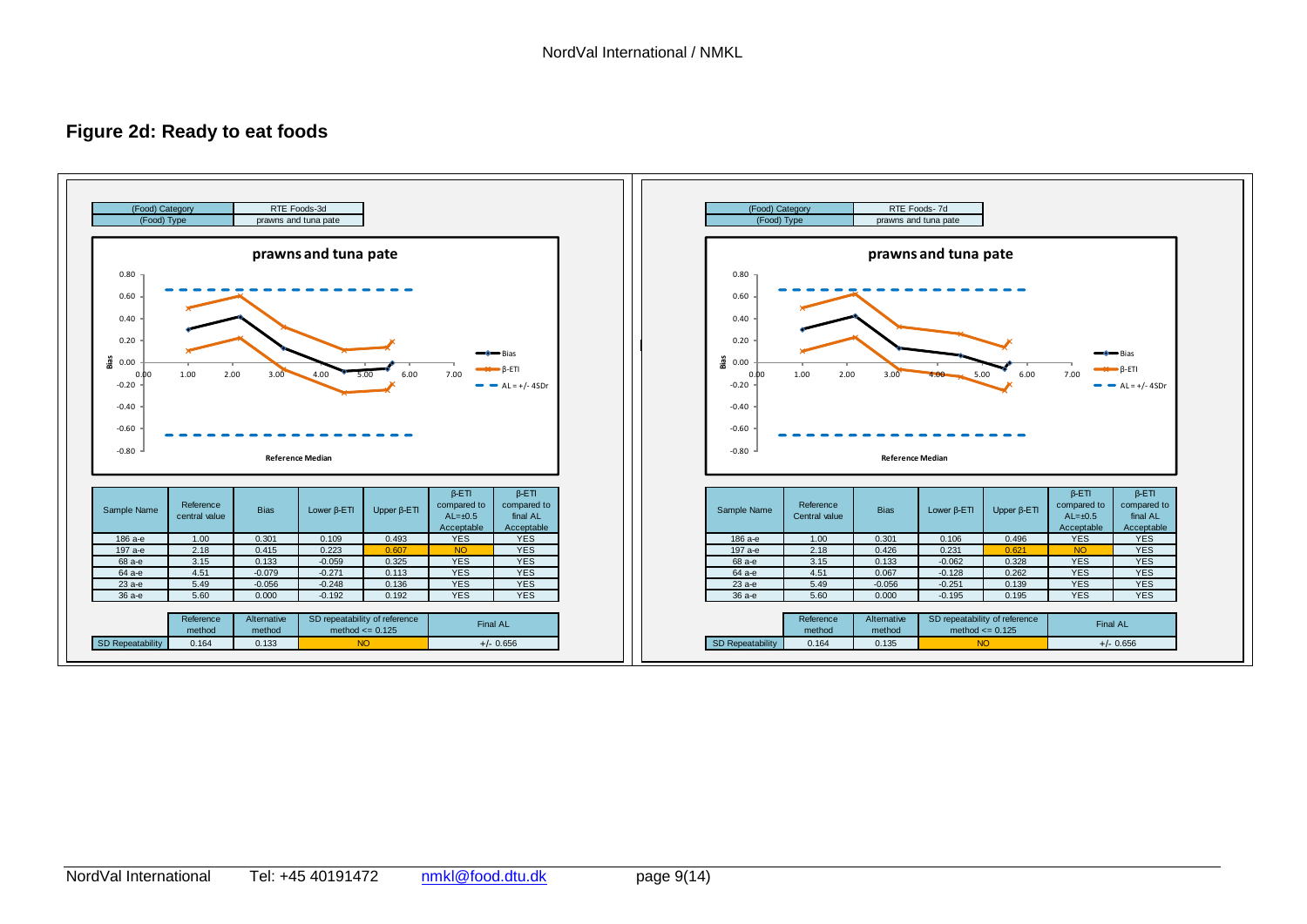# **Figure 2d: Ready to eat foods**

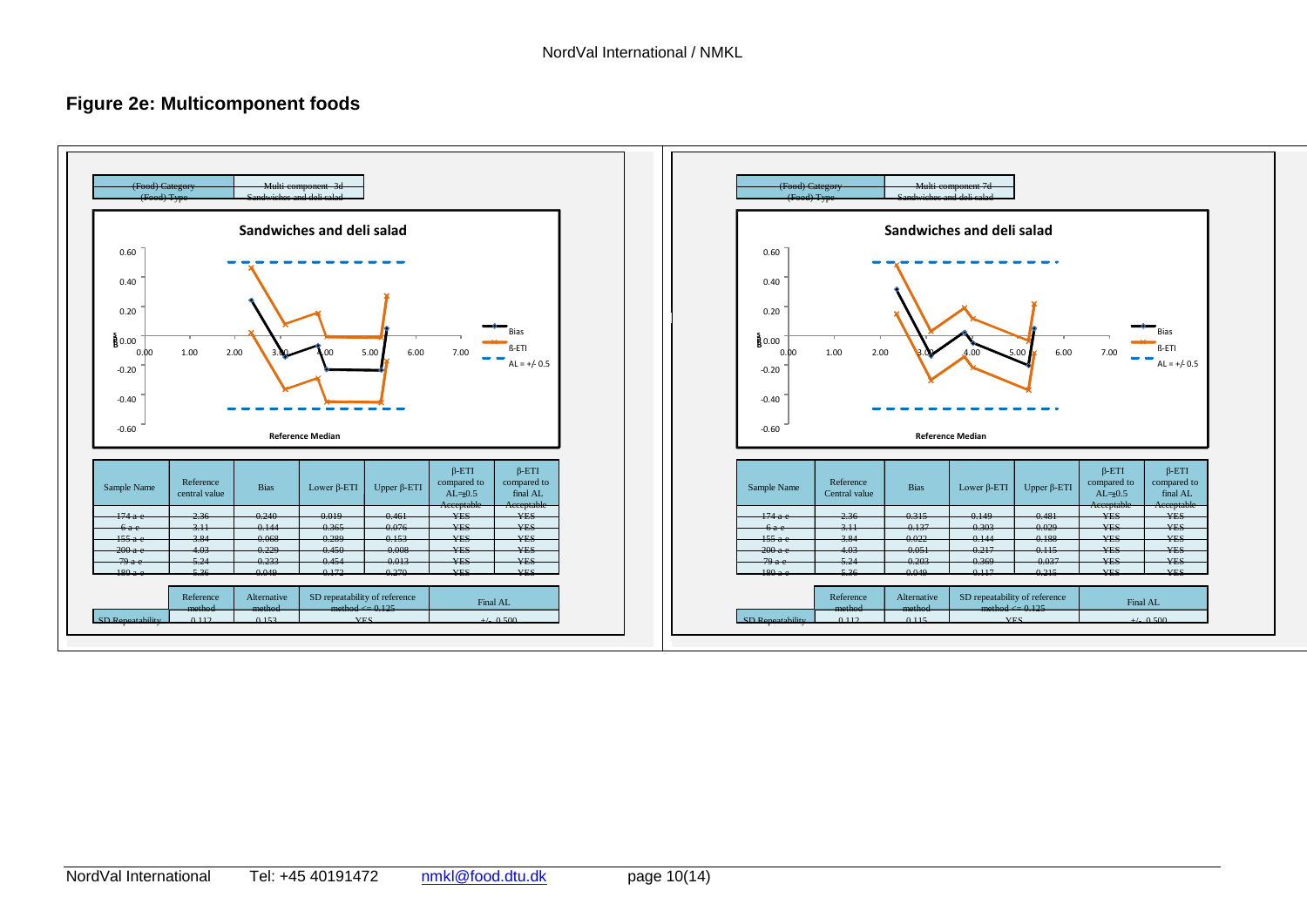# **Figure 2e: Multicomponent foods**

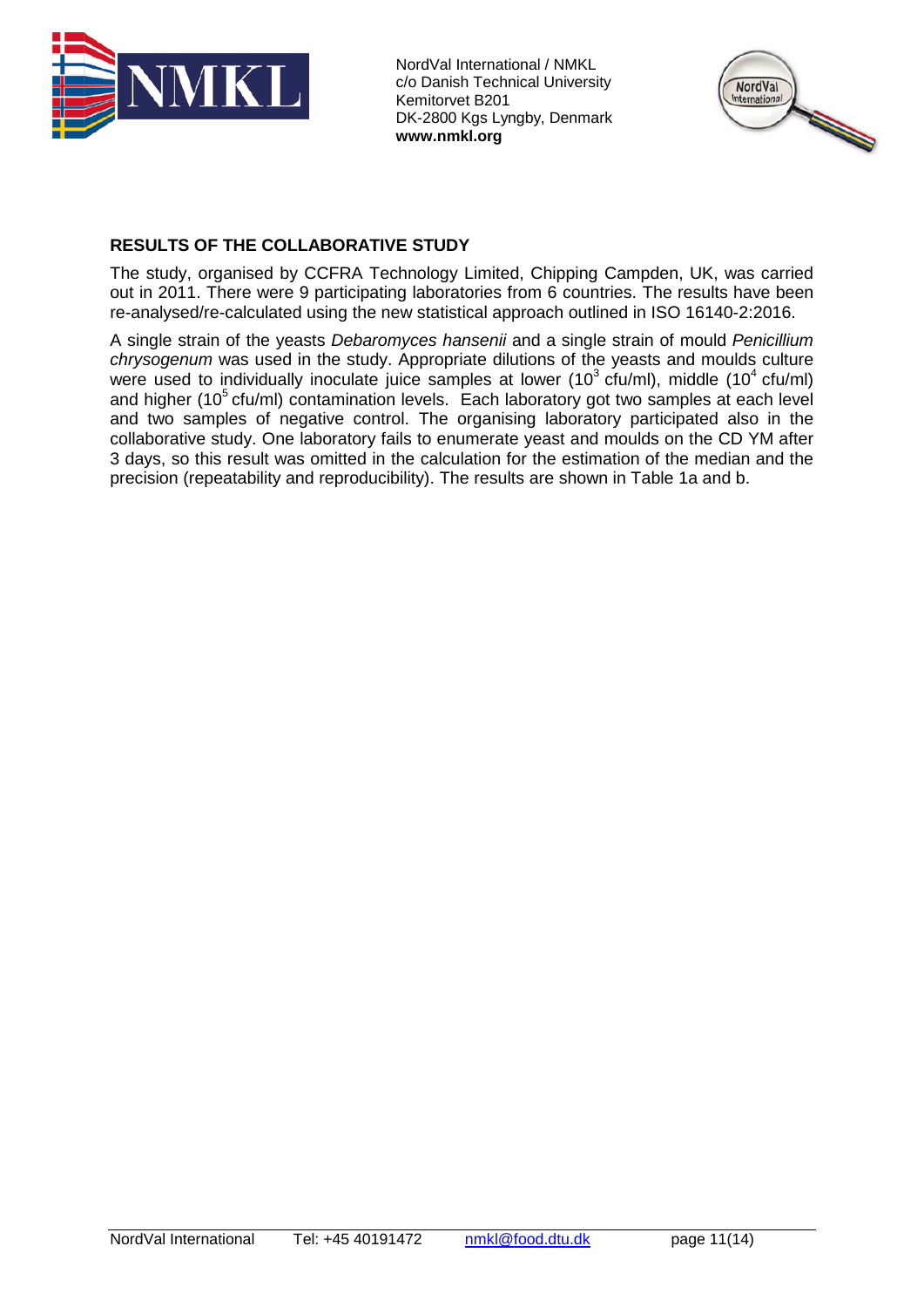



# **RESULTS OF THE COLLABORATIVE STUDY**

The study, organised by CCFRA Technology Limited, Chipping Campden, UK, was carried out in 2011. There were 9 participating laboratories from 6 countries. The results have been re-analysed/re-calculated using the new statistical approach outlined in ISO 16140-2:2016.

A single strain of the yeasts *Debaromyces hansenii* and a single strain of mould *Penicillium chrysogenum* was used in the study. Appropriate dilutions of the yeasts and moulds culture were used to individually inoculate juice samples at lower (10<sup>3</sup> cfu/ml), middle (10<sup>4</sup> cfu/ml) and higher ( $10<sup>5</sup>$  cfu/ml) contamination levels. Each laboratory got two samples at each level and two samples of negative control. The organising laboratory participated also in the collaborative study. One laboratory fails to enumerate yeast and moulds on the CD YM after 3 days, so this result was omitted in the calculation for the estimation of the median and the precision (repeatability and reproducibility). The results are shown in Table 1a and b.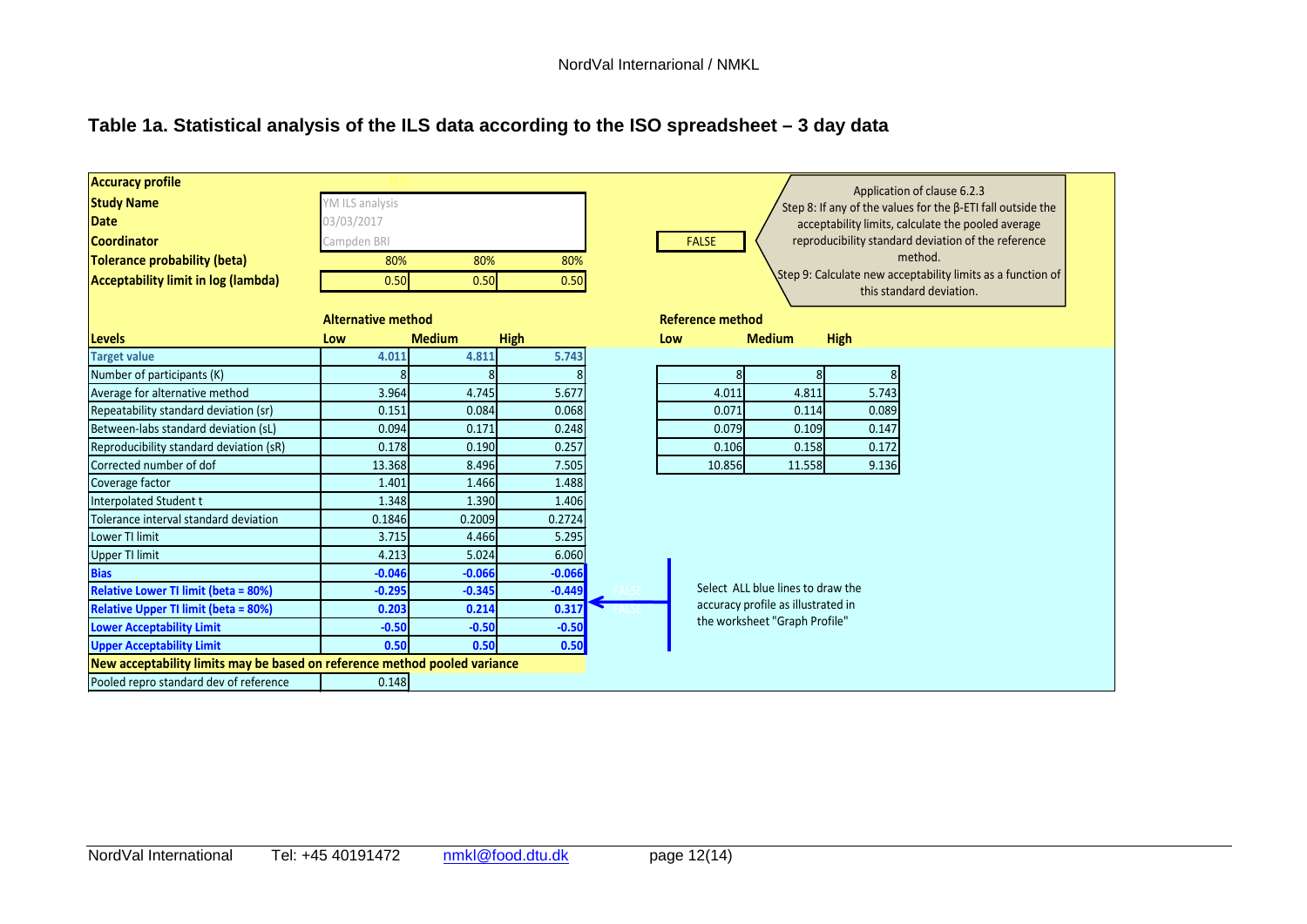# **Table 1a. Statistical analysis of the ILS data according to the ISO spreadsheet – 3 day data**

| <b>Accuracy profile</b>                                                   |                           |               |             | Application of clause 6.2.3                                         |  |  |
|---------------------------------------------------------------------------|---------------------------|---------------|-------------|---------------------------------------------------------------------|--|--|
| <b>Study Name</b>                                                         | YM ILS analysis           |               |             | Step 8: If any of the values for the $\beta$ -ETI fall outside the  |  |  |
| <b>Date</b>                                                               | 03/03/2017                |               |             | acceptability limits, calculate the pooled average                  |  |  |
| <b>Coordinator</b>                                                        | Campden BRI               |               |             | reproducibility standard deviation of the reference<br><b>FALSE</b> |  |  |
| Tolerance probability (beta)                                              | 80%                       | 80%           | 80%         | method.                                                             |  |  |
| Acceptability limit in log (lambda)                                       | 0.50                      | 0.50          | 0.50        | Step 9: Calculate new acceptability limits as a function of         |  |  |
|                                                                           |                           |               |             | this standard deviation.                                            |  |  |
|                                                                           | <b>Alternative method</b> |               |             | <b>Reference method</b>                                             |  |  |
| Levels                                                                    | Low                       | <b>Medium</b> | <b>High</b> | <b>Medium</b><br><b>High</b><br>Low                                 |  |  |
| <b>Target value</b>                                                       | 4.011                     | 4.811         | 5.743       |                                                                     |  |  |
| Number of participants (K)                                                |                           |               |             | 8                                                                   |  |  |
| Average for alternative method                                            | 3.964                     | 4.745         | 5.677       | 4.011<br>4.811<br>5.743                                             |  |  |
| Repeatability standard deviation (sr)                                     | 0.151                     | 0.084         | 0.068       | 0.071<br>0.114<br>0.089                                             |  |  |
| Between-labs standard deviation (sL)                                      | 0.094                     | 0.171         | 0.248       | 0.079<br>0.109<br>0.147                                             |  |  |
| Reproducibility standard deviation (sR)                                   | 0.178                     | 0.190         | 0.257       | 0.158<br>0.172<br>0.106                                             |  |  |
| Corrected number of dof                                                   | 13.368                    | 8.496         | 7.505       | 10.856<br>11.558<br>9.136                                           |  |  |
| Coverage factor                                                           | 1.401                     | 1.466         | 1.488       |                                                                     |  |  |
| Interpolated Student t                                                    | 1.348                     | 1.390         | 1.406       |                                                                     |  |  |
| Tolerance interval standard deviation                                     | 0.1846                    | 0.2009        | 0.2724      |                                                                     |  |  |
| Lower TI limit                                                            | 3.715                     | 4.466         | 5.295       |                                                                     |  |  |
| <b>Upper TI limit</b>                                                     | 4.213                     | 5.024         | 6.060       |                                                                     |  |  |
| <b>Bias</b>                                                               | $-0.046$                  | $-0.066$      | $-0.066$    |                                                                     |  |  |
| <b>Relative Lower TI limit (beta = 80%)</b>                               | $-0.295$                  | $-0.345$      | $-0.449$    | Select ALL blue lines to draw the                                   |  |  |
| <b>Relative Upper TI limit (beta = 80%)</b>                               | 0.203                     | 0.214         | 0.317       | accuracy profile as illustrated in                                  |  |  |
| <b>Lower Acceptability Limit</b>                                          | $-0.50$                   | $-0.50$       | $-0.50$     | the worksheet "Graph Profile"                                       |  |  |
| <b>Upper Acceptability Limit</b>                                          | 0.50                      | 0.50          | 0.50        |                                                                     |  |  |
| New acceptability limits may be based on reference method pooled variance |                           |               |             |                                                                     |  |  |
| Pooled repro standard dev of reference                                    | 0.148                     |               |             |                                                                     |  |  |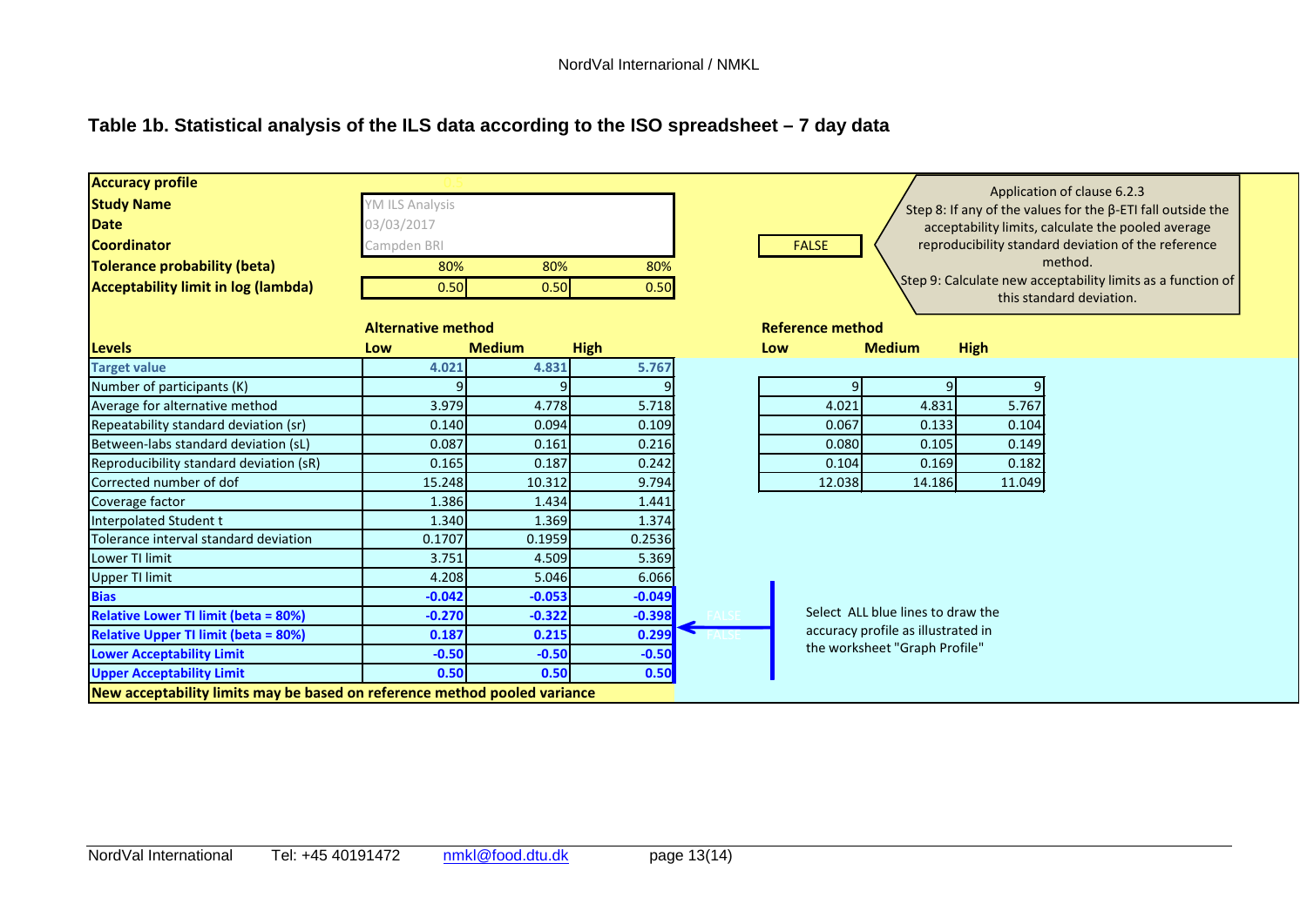# **Table 1b. Statistical analysis of the ILS data according to the ISO spreadsheet – 7 day data**

| <b>Accuracy profile</b><br><b>Study Name</b><br><b>Date</b><br>Coordinator<br><b>Tolerance probability (beta)</b><br>Acceptability limit in log (lambda) | YM ILS Analysis<br>03/03/2017<br>Campden BRI<br>80%<br>0.50 | 80%<br>0.50   | 80%<br>0.50 | Application of clause 6.2.3<br>Step 8: If any of the values for the $\beta$ -ETI fall outside the<br>acceptability limits, calculate the pooled average<br>reproducibility standard deviation of the reference<br><b>FALSE</b><br>method.<br>Step 9: Calculate new acceptability limits as a function of<br>this standard deviation. |  |  |
|----------------------------------------------------------------------------------------------------------------------------------------------------------|-------------------------------------------------------------|---------------|-------------|--------------------------------------------------------------------------------------------------------------------------------------------------------------------------------------------------------------------------------------------------------------------------------------------------------------------------------------|--|--|
| <b>Levels</b>                                                                                                                                            | <b>Alternative method</b><br>Low                            | <b>Medium</b> | <b>High</b> | <b>Reference method</b><br><b>High</b><br><b>Medium</b><br>Low                                                                                                                                                                                                                                                                       |  |  |
| <b>Target value</b>                                                                                                                                      | 4.021                                                       | 4.831         | 5.767       |                                                                                                                                                                                                                                                                                                                                      |  |  |
| Number of participants (K)                                                                                                                               |                                                             | $\Omega$      |             | q                                                                                                                                                                                                                                                                                                                                    |  |  |
| Average for alternative method                                                                                                                           | 3.979                                                       | 4.778         | 5.718       | 4.021<br>4.831<br>5.767                                                                                                                                                                                                                                                                                                              |  |  |
| Repeatability standard deviation (sr)                                                                                                                    | 0.140                                                       | 0.094         | 0.109       | 0.067<br>0.133<br>0.104                                                                                                                                                                                                                                                                                                              |  |  |
| Between-labs standard deviation (sL)                                                                                                                     | 0.087                                                       | 0.161         | 0.216       | 0.080<br>0.105<br>0.149                                                                                                                                                                                                                                                                                                              |  |  |
| Reproducibility standard deviation (sR)                                                                                                                  | 0.165                                                       | 0.187         | 0.242       | 0.182<br>0.104<br>0.169                                                                                                                                                                                                                                                                                                              |  |  |
| Corrected number of dof                                                                                                                                  | 15.248                                                      | 10.312        | 9.794       | 12.038<br>14.186<br>11.049                                                                                                                                                                                                                                                                                                           |  |  |
| Coverage factor                                                                                                                                          | 1.386                                                       | 1.434         | 1.441       |                                                                                                                                                                                                                                                                                                                                      |  |  |
| Interpolated Student t                                                                                                                                   | 1.340                                                       | 1.369         | 1.374       |                                                                                                                                                                                                                                                                                                                                      |  |  |
| Tolerance interval standard deviation                                                                                                                    | 0.1707                                                      | 0.1959        | 0.2536      |                                                                                                                                                                                                                                                                                                                                      |  |  |
| Lower TI limit                                                                                                                                           | 3.751                                                       | 4.509         | 5.369       |                                                                                                                                                                                                                                                                                                                                      |  |  |
| <b>Upper TI limit</b>                                                                                                                                    | 4.208                                                       | 5.046         | 6.066       |                                                                                                                                                                                                                                                                                                                                      |  |  |
| <b>Bias</b>                                                                                                                                              | $-0.042$                                                    | $-0.053$      | $-0.049$    |                                                                                                                                                                                                                                                                                                                                      |  |  |
| <b>Relative Lower TI limit (beta = 80%)</b>                                                                                                              | $-0.270$                                                    | $-0.322$      | $-0.398$    | Select ALL blue lines to draw the                                                                                                                                                                                                                                                                                                    |  |  |
| <b>Relative Upper TI limit (beta = 80%)</b>                                                                                                              | 0.187                                                       | 0.215         | 0.299       | accuracy profile as illustrated in                                                                                                                                                                                                                                                                                                   |  |  |
| <b>Lower Acceptability Limit</b>                                                                                                                         | $-0.50$                                                     | $-0.50$       | $-0.50$     | the worksheet "Graph Profile"                                                                                                                                                                                                                                                                                                        |  |  |
| <b>Upper Acceptability Limit</b>                                                                                                                         | 0.50                                                        | 0.50          | 0.50        |                                                                                                                                                                                                                                                                                                                                      |  |  |
| New acceptability limits may be based on reference method pooled variance                                                                                |                                                             |               |             |                                                                                                                                                                                                                                                                                                                                      |  |  |